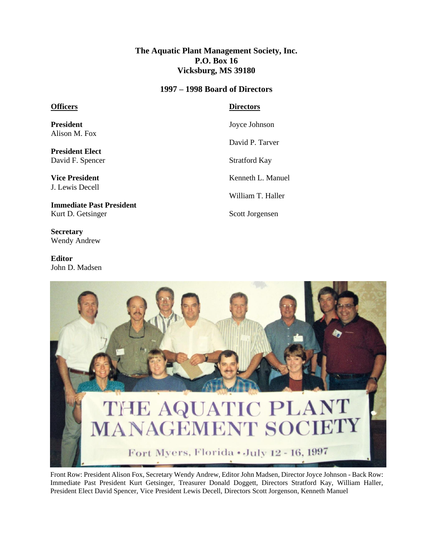## **The Aquatic Plant Management Society, Inc. P.O. Box 16 Vicksburg, MS 39180**

## **1997 – 1998 Board of Directors**

## **Officers**

**President** Alison M. Fox

**President Elect** David F. Spencer

**Vice President** J. Lewis Decell

**Immediate Past President** Kurt D. Getsinger

**Secretary** Wendy Andrew

**Editor** John D. Madsen **Directors**

Joyce Johnson

David P. Tarver

Stratford Kay

Kenneth L. Manuel

William T. Haller

Scott Jorgensen



Front Row: President Alison Fox, Secretary Wendy Andrew, Editor John Madsen, Director Joyce Johnson - Back Row: Immediate Past President Kurt Getsinger, Treasurer Donald Doggett, Directors Stratford Kay, William Haller, President Elect David Spencer, Vice President Lewis Decell, Directors Scott Jorgenson, Kenneth Manuel